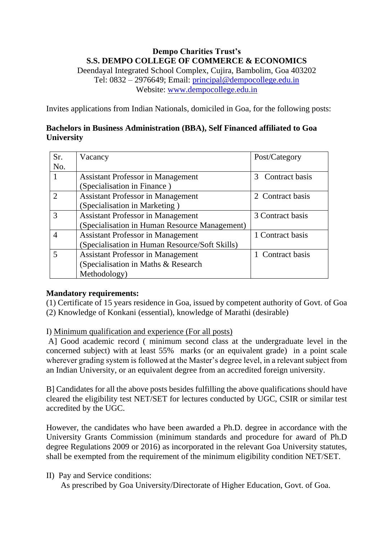## **Dempo Charities Trust's S.S. DEMPO COLLEGE OF COMMERCE & ECONOMICS**

Deendayal Integrated School Complex, Cujira, Bambolim, Goa 403202 Tel: 0832 – 2976649; Email: [principal@dempocollege.edu.in](mailto:principal@dempocollege.edu.in) Website: [www.dempocollege.edu.in](http://www.dempocollege.edu.in/)

Invites applications from Indian Nationals, domiciled in Goa, for the following posts:

## **Bachelors in Business Administration (BBA), Self Financed affiliated to Goa University**

| Sr. | Vacancy                                        | Post/Category                   |
|-----|------------------------------------------------|---------------------------------|
| No. |                                                |                                 |
|     | <b>Assistant Professor in Management</b>       | Contract basis<br>$\mathcal{R}$ |
|     | (Specialisation in Finance)                    |                                 |
|     | <b>Assistant Professor in Management</b>       | 2 Contract basis                |
|     | (Specialisation in Marketing)                  |                                 |
| 3   | <b>Assistant Professor in Management</b>       | 3 Contract basis                |
|     | (Specialisation in Human Resource Management)  |                                 |
|     | <b>Assistant Professor in Management</b>       | 1 Contract basis                |
|     | (Specialisation in Human Resource/Soft Skills) |                                 |
| 5   | <b>Assistant Professor in Management</b>       | 1 Contract basis                |
|     | (Specialisation in Maths & Research            |                                 |
|     | Methodology)                                   |                                 |

## **Mandatory requirements:**

(1) Certificate of 15 years residence in Goa, issued by competent authority of Govt. of Goa (2) Knowledge of Konkani (essential), knowledge of Marathi (desirable)

I) Minimum qualification and experience (For all posts)

A] Good academic record ( minimum second class at the undergraduate level in the concerned subject) with at least 55% marks (or an equivalent grade) in a point scale wherever grading system is followed at the Master's degree level, in a relevant subject from an Indian University, or an equivalent degree from an accredited foreign university.

B] Candidates for all the above posts besides fulfilling the above qualifications should have cleared the eligibility test NET/SET for lectures conducted by UGC, CSIR or similar test accredited by the UGC.

However, the candidates who have been awarded a Ph.D. degree in accordance with the University Grants Commission (minimum standards and procedure for award of Ph.D degree Regulations 2009 or 2016) as incorporated in the relevant Goa University statutes, shall be exempted from the requirement of the minimum eligibility condition NET/SET.

II) Pay and Service conditions:

As prescribed by Goa University/Directorate of Higher Education, Govt. of Goa.